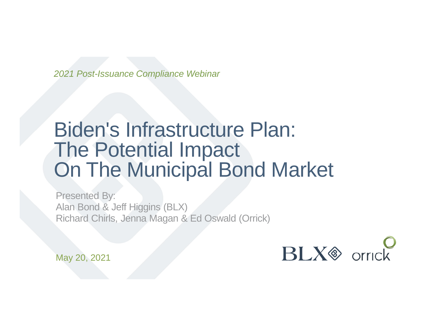*2021 Post-Issuance Compliance Webinar*

### Biden's Infrastructure Plan: The Potential Impact On The Municipal Bond Market

Presented By: Alan Bond & Jeff Higgins (BLX) Richard Chirls, Jenna Magan & Ed Oswald (Orrick)



May 20, 2021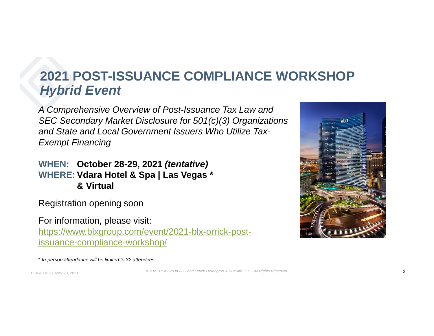### **2021 POST-ISSUANCE COMPLIANCE WORKSHOP** *Hybrid Event*

*A Comprehensive Overview of Post-Issuance Tax Law and SEC Secondary Market Disclosure for 501(c)(3) Organizations and State and Local Government Issuers Who Utilize Tax-Exempt Financing*

**WHEN: October 28-29, 2021** *(tentative)* **WHERE: Vdara Hotel & Spa | Las Vegas \* & Virtual**

Registration opening soon

For information, please visit: https://www.blxgroup.com/event/2021-blx-orrick-postissuance-compliance-workshop/

\* *In-person attendance will be limited to 32 attendees.*

*© 2021 BLX Group LLC and Orrick Herrington & Sutcliffe LLP - All Rights Reserved*

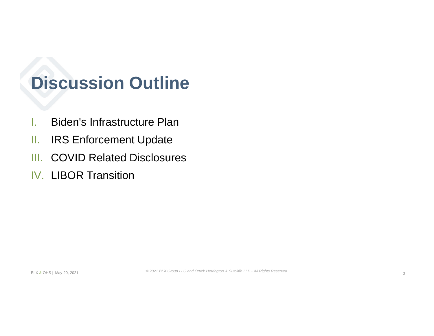### **Discussion Outline**

- I. Biden's Infrastructure Plan
- II. IRS Enforcement Update
- III. COVID Related Disclosures
- IV. LIBOR Transition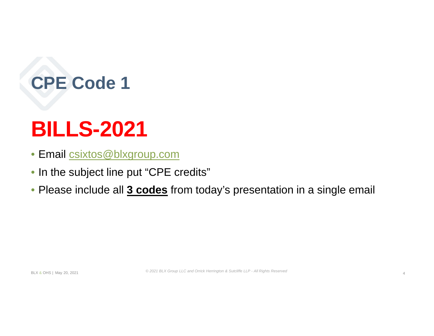# **CPE Code 1**

# **BILLS-2021**

- Email csixtos@blxgroup.com
- In the subject line put "CPE credits"
- Please include all **3 codes** from today's presentation in a single email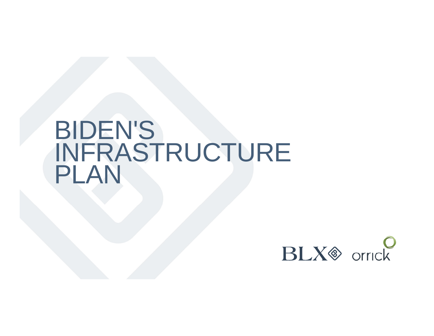# BIDEN'S INFRASTRUCTURE PLAN

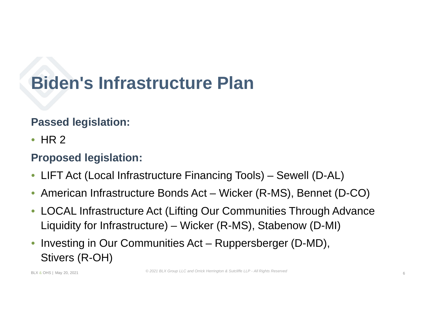### **Passed legislation:**

 $\bullet$  HR 2

### **Proposed legislation:**

- LIFT Act (Local Infrastructure Financing Tools) Sewell (D-AL)
- American Infrastructure Bonds Act Wicker (R-MS), Bennet (D-CO)
- LOCAL Infrastructure Act (Lifting Our Communities Through Advance Liquidity for Infrastructure) – Wicker (R-MS), Stabenow (D-MI)
- Investing in Our Communities Act Ruppersberger (D-MD), Stivers (R-OH)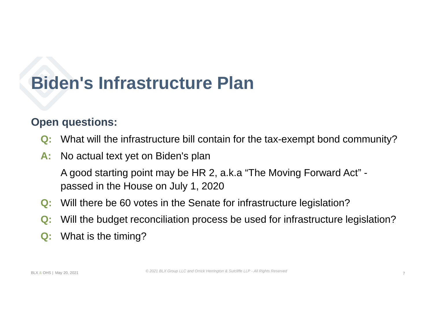#### **Open questions:**

- **Q:** What will the infrastructure bill contain for the tax-exempt bond community?
- **A:** No actual text yet on Biden's plan

A good starting point may be HR 2, a.k.a "The Moving Forward Act" passed in the House on July 1, 2020

- **Q:** Will there be 60 votes in the Senate for infrastructure legislation?
- **Q:** Will the budget reconciliation process be used for infrastructure legislation?
- **Q:** What is the timing?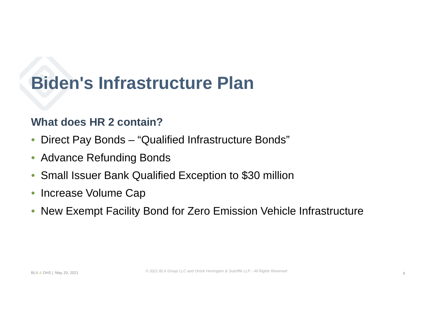### **What does HR 2 contain?**

- Direct Pay Bonds "Qualified Infrastructure Bonds"
- Advance Refunding Bonds
- Small Issuer Bank Qualified Exception to \$30 million
- Increase Volume Cap
- New Exempt Facility Bond for Zero Emission Vehicle Infrastructure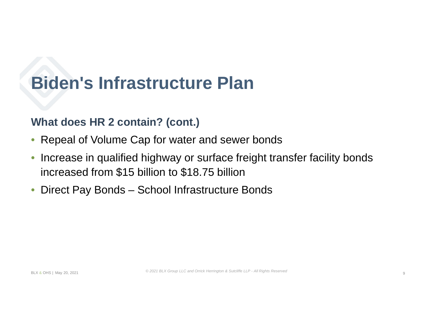### **What does HR 2 contain? (cont.)**

- Repeal of Volume Cap for water and sewer bonds
- Increase in qualified highway or surface freight transfer facility bonds increased from \$15 billion to \$18.75 billion
- Direct Pay Bonds School Infrastructure Bonds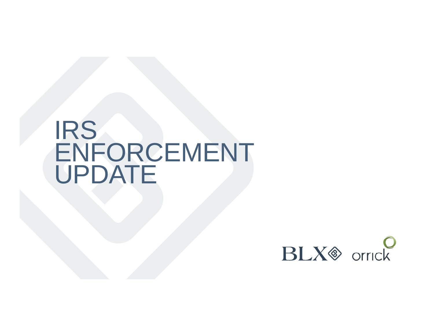# IRS ENFORCEMENT UPDATE

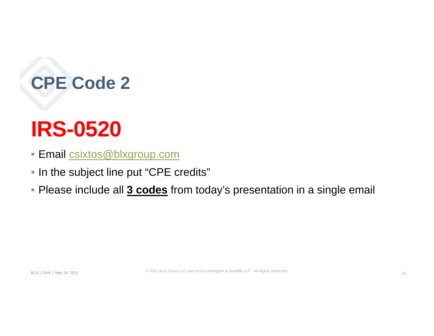# **CPE Code 2**

# **IRS-0520**

- Email csixtos@blxgroup.com
- In the subject line put "CPE credits"
- Please include all **3 codes** from today's presentation in a single email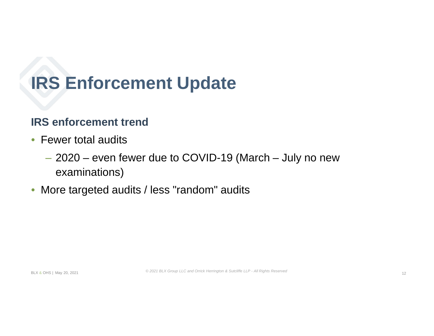#### **IRS enforcement trend**

- Fewer total audits
	- ‒ 2020 even fewer due to COVID-19 (March July no new examinations)
- More targeted audits / less "random" audits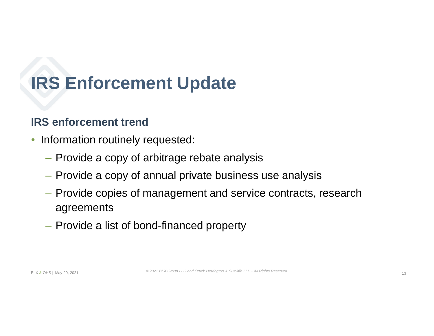### **IRS enforcement trend**

- Information routinely requested:
	- ‒ Provide a copy of arbitrage rebate analysis
	- ‒ Provide a copy of annual private business use analysis
	- ‒ Provide copies of management and service contracts, research agreements
	- ‒ Provide a list of bond-financed property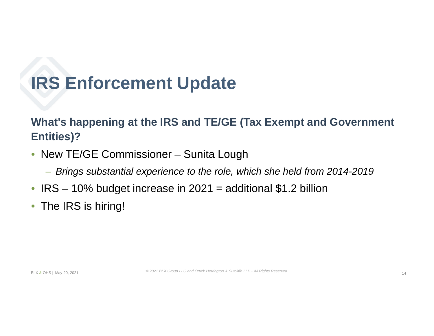### **What's happening at the IRS and TE/GE (Tax Exempt and Government Entities)?**

- New TE/GE Commissioner Sunita Lough
	- ‒ *Brings substantial experience to the role, which she held from 2014-2019*
- $IRS 10\%$  budget increase in  $2021 =$  additional \$1.2 billion
- The IRS is hiring!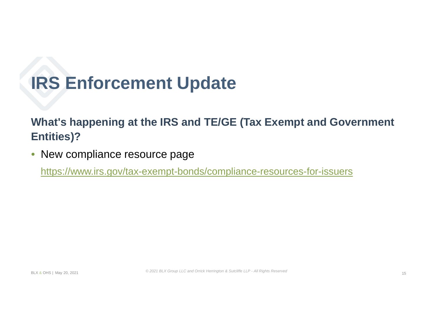### **What's happening at the IRS and TE/GE (Tax Exempt and Government Entities)?**

• New compliance resource page

https://www.irs.gov/tax-exempt-bonds/compliance-resources-for-issuers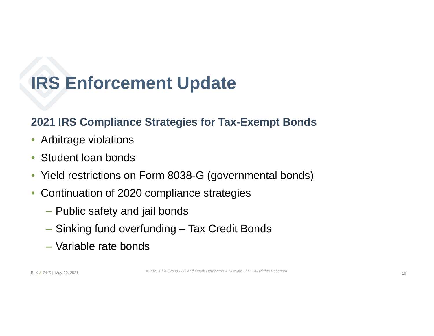### **2021 IRS Compliance Strategies for Tax-Exempt Bonds**

- Arbitrage violations
- Student loan bonds
- Yield restrictions on Form 8038-G (governmental bonds)
- Continuation of 2020 compliance strategies
	- ‒ Public safety and jail bonds
	- ‒ Sinking fund overfunding Tax Credit Bonds
	- ‒ Variable rate bonds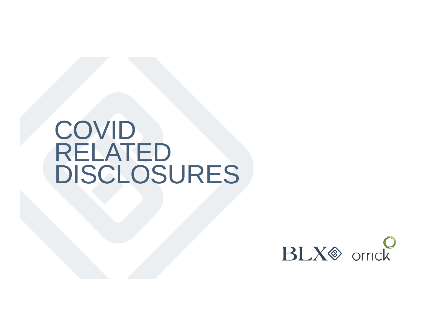# **COVID** RELATED DISCLOSURES

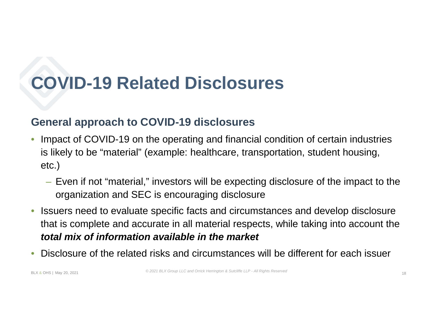#### **General approach to COVID-19 disclosures**

- Impact of COVID-19 on the operating and financial condition of certain industries is likely to be "material" (example: healthcare, transportation, student housing, etc.)
	- Even if not "material," investors will be expecting disclosure of the impact to the organization and SEC is encouraging disclosure
- Issuers need to evaluate specific facts and circumstances and develop disclosure that is complete and accurate in all material respects, while taking into account the *total mix of information available in the market*
- Disclosure of the related risks and circumstances will be different for each issuer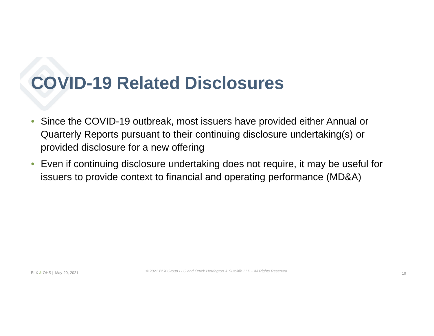- Since the COVID-19 outbreak, most issuers have provided either Annual or Quarterly Reports pursuant to their continuing disclosure undertaking(s) or provided disclosure for a new offering
- Even if continuing disclosure undertaking does not require, it may be useful for issuers to provide context to financial and operating performance (MD&A)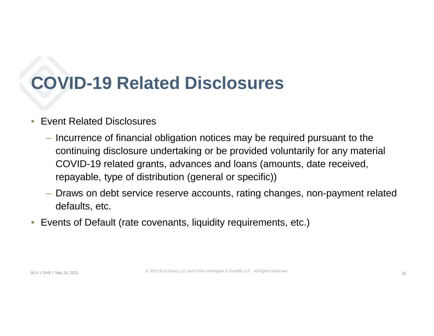#### • Event Related Disclosures

- Incurrence of financial obligation notices may be required pursuant to the continuing disclosure undertaking or be provided voluntarily for any material COVID-19 related grants, advances and loans (amounts, date received, repayable, type of distribution (general or specific))
- Draws on debt service reserve accounts, rating changes, non-payment related defaults, etc.
- Events of Default (rate covenants, liquidity requirements, etc.)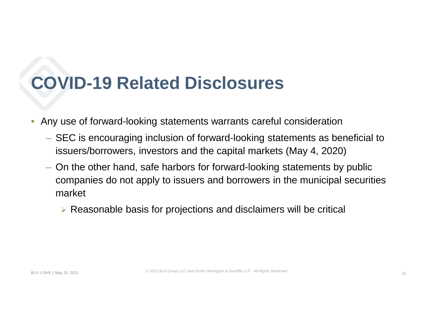- Any use of forward-looking statements warrants careful consideration
	- SEC is encouraging inclusion of forward-looking statements as beneficial to issuers/borrowers, investors and the capital markets (May 4, 2020)
	- On the other hand, safe harbors for forward-looking statements by public companies do not apply to issuers and borrowers in the municipal securities market

 $\triangleright$  Reasonable basis for projections and disclaimers will be critical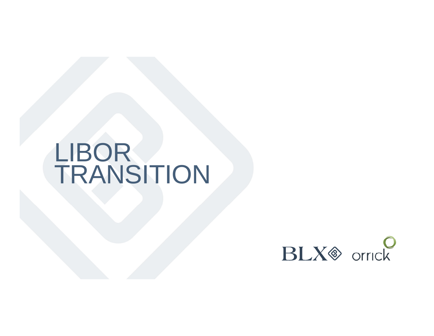# LIBOR TRANSITION

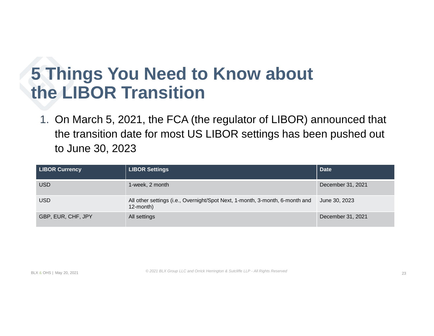### **5 Things You Need to Know about the LIBOR Transition**

1. On March 5, 2021, the FCA (the regulator of LIBOR) announced that the transition date for most US LIBOR settings has been pushed out to June 30, 2023

| <b>LIBOR Currency</b> | <b>LIBOR Settings</b>                                                                     | <b>Date</b>       |
|-----------------------|-------------------------------------------------------------------------------------------|-------------------|
| <b>USD</b>            | 1-week, 2 month                                                                           | December 31, 2021 |
| <b>USD</b>            | All other settings (i.e., Overnight/Spot Next, 1-month, 3-month, 6-month and<br>12-month) | June 30, 2023     |
| GBP, EUR, CHF, JPY    | All settings                                                                              | December 31, 2021 |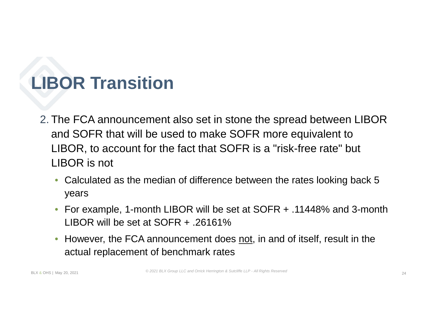- 2. The FCA announcement also set in stone the spread between LIBOR and SOFR that will be used to make SOFR more equivalent to LIBOR, to account for the fact that SOFR is a "risk-free rate" but LIBOR is not
	- Calculated as the median of difference between the rates looking back 5 years
	- For example, 1-month LIBOR will be set at SOFR + .11448% and 3-month LIBOR will be set at SOFR + .26161%
	- However, the FCA announcement does not, in and of itself, result in the actual replacement of benchmark rates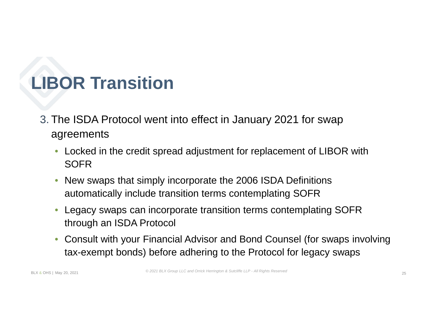- 3. The ISDA Protocol went into effect in January 2021 for swap agreements
	- Locked in the credit spread adjustment for replacement of LIBOR with **SOFR**
	- New swaps that simply incorporate the 2006 ISDA Definitions automatically include transition terms contemplating SOFR
	- Legacy swaps can incorporate transition terms contemplating SOFR through an ISDA Protocol
	- Consult with your Financial Advisor and Bond Counsel (for swaps involving tax-exempt bonds) before adhering to the Protocol for legacy swaps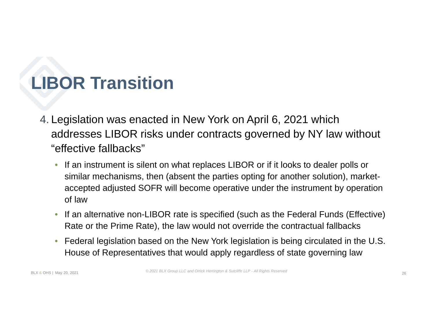- 4. Legislation was enacted in New York on April 6, 2021 which addresses LIBOR risks under contracts governed by NY law without "effective fallbacks"
	- If an instrument is silent on what replaces LIBOR or if it looks to dealer polls or similar mechanisms, then (absent the parties opting for another solution), marketaccepted adjusted SOFR will become operative under the instrument by operation of law
	- If an alternative non-LIBOR rate is specified (such as the Federal Funds (Effective) Rate or the Prime Rate), the law would not override the contractual fallbacks
	- Federal legislation based on the New York legislation is being circulated in the U.S. House of Representatives that would apply regardless of state governing law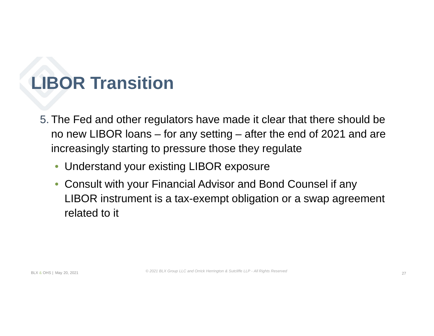- 5. The Fed and other regulators have made it clear that there should be no new LIBOR loans – for any setting – after the end of 2021 and are increasingly starting to pressure those they regulate
	- Understand your existing LIBOR exposure
	- Consult with your Financial Advisor and Bond Counsel if any LIBOR instrument is a tax-exempt obligation or a swap agreement related to it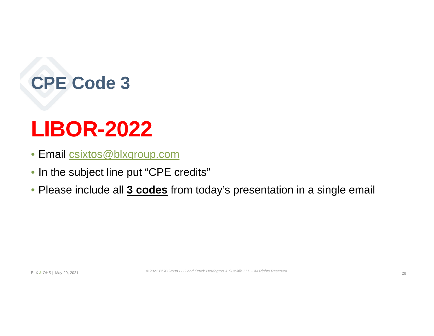# **CPE Code 3**

# **LIBOR-2022**

- Email csixtos@blxgroup.com
- In the subject line put "CPE credits"
- Please include all **3 codes** from today's presentation in a single email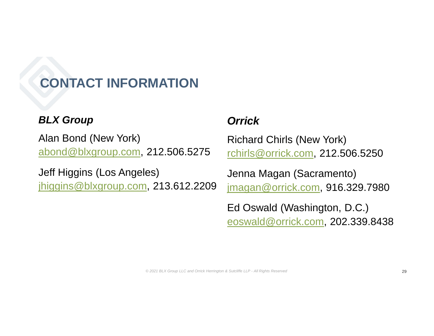### **CONTACT INFORMATION**

#### *BLX Group*

Alan Bond (New York) abond@blxgroup.com, 212.506.5275

Jeff Higgins (Los Angeles) jhiggins@blxgroup.com, 213.612.2209

#### *Orrick*

Richard Chirls (New York) rchirls@orrick.com, 212.506.5250

Jenna Magan (Sacramento) jmagan@orrick.com, 916.329.7980

Ed Oswald (Washington, D.C.) eoswald@orrick.com, 202.339.8438

*© 2021 BLX Group LLC and Orrick Herrington & Sutcliffe LLP - All Rights Reserved*